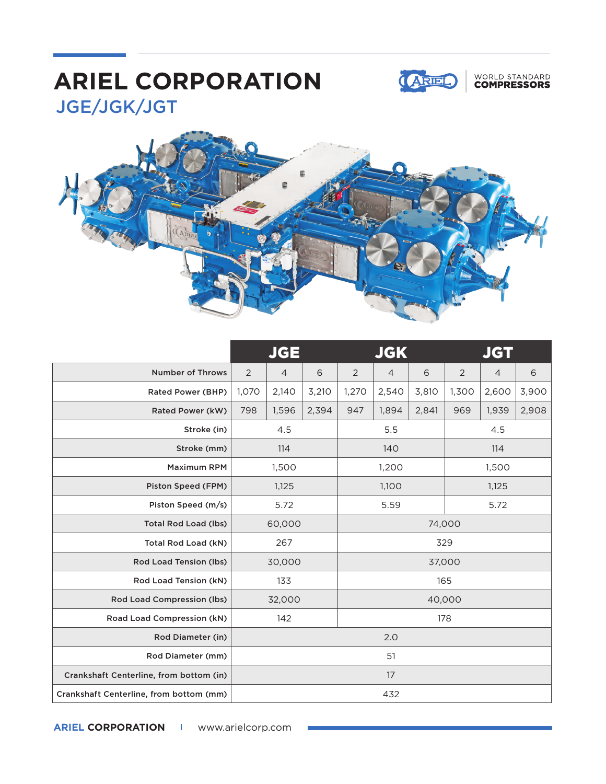## JGE/JGK/JGT **ARIEL CORPORATION**



### WORLD STANDARD<br>**COMPRESSORS**



|                                         | <b>JGE</b>     |                |       | <b>JGK</b> |                |       | <b>JGT</b> |                |       |
|-----------------------------------------|----------------|----------------|-------|------------|----------------|-------|------------|----------------|-------|
| <b>Number of Throws</b>                 | $\overline{2}$ | $\overline{4}$ | 6     | 2          | $\overline{4}$ | 6     | 2          | $\overline{4}$ | 6     |
| Rated Power (BHP)                       | 1,070          | 2,140          | 3,210 | 1,270      | 2,540          | 3,810 | 1,300      | 2,600          | 3,900 |
| Rated Power (kW)                        | 798            | 1,596          | 2,394 | 947        | 1,894          | 2,841 | 969        | 1,939          | 2,908 |
| Stroke (in)                             | 4.5            |                |       | 5.5        |                |       | 4.5        |                |       |
| Stroke (mm)                             | 114            |                |       | 140        |                |       | 114        |                |       |
| <b>Maximum RPM</b>                      | 1,500          |                |       | 1,200      |                |       | 1,500      |                |       |
| Piston Speed (FPM)                      | 1,125          |                |       | 1,100      |                |       | 1,125      |                |       |
| Piston Speed (m/s)                      | 5.72           |                |       | 5.59       |                |       | 5.72       |                |       |
| <b>Total Rod Load (lbs)</b>             | 60,000         |                |       | 74,000     |                |       |            |                |       |
| Total Rod Load (kN)                     | 267            |                |       | 329        |                |       |            |                |       |
| Rod Load Tension (lbs)                  | 30,000         |                |       | 37,000     |                |       |            |                |       |
| Rod Load Tension (kN)                   | 133            |                |       | 165        |                |       |            |                |       |
| Rod Load Compression (lbs)              | 32,000         |                |       | 40,000     |                |       |            |                |       |
| Road Load Compression (kN)              | 142            |                |       | 178        |                |       |            |                |       |
| Rod Diameter (in)                       | 2.0            |                |       |            |                |       |            |                |       |
| Rod Diameter (mm)                       | 51             |                |       |            |                |       |            |                |       |
| Crankshaft Centerline, from bottom (in) | 17             |                |       |            |                |       |            |                |       |
| Crankshaft Centerline, from bottom (mm) | 432            |                |       |            |                |       |            |                |       |